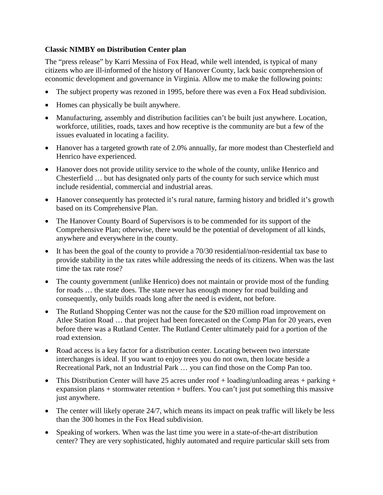## **Classic NIMBY on Distribution Center plan**

The "press release" by Karri Messina of Fox Head, while well intended, is typical of many citizens who are ill-informed of the history of Hanover County, lack basic comprehension of economic development and governance in Virginia. Allow me to make the following points:

- The subject property was rezoned in 1995, before there was even a Fox Head subdivision.
- Homes can physically be built anywhere.
- Manufacturing, assembly and distribution facilities can't be built just anywhere. Location, workforce, utilities, roads, taxes and how receptive is the community are but a few of the issues evaluated in locating a facility.
- Hanover has a targeted growth rate of 2.0% annually, far more modest than Chesterfield and Henrico have experienced.
- Hanover does not provide utility service to the whole of the county, unlike Henrico and Chesterfield … but has designated only parts of the county for such service which must include residential, commercial and industrial areas.
- Hanover consequently has protected it's rural nature, farming history and bridled it's growth based on its Comprehensive Plan.
- The Hanover County Board of Supervisors is to be commended for its support of the Comprehensive Plan; otherwise, there would be the potential of development of all kinds, anywhere and everywhere in the county.
- It has been the goal of the county to provide a 70/30 residential/non-residential tax base to provide stability in the tax rates while addressing the needs of its citizens. When was the last time the tax rate rose?
- The county government (unlike Henrico) does not maintain or provide most of the funding for roads … the state does. The state never has enough money for road building and consequently, only builds roads long after the need is evident, not before.
- The Rutland Shopping Center was not the cause for the \$20 million road improvement on Atlee Station Road … that project had been forecasted on the Comp Plan for 20 years, even before there was a Rutland Center. The Rutland Center ultimately paid for a portion of the road extension.
- Road access is a key factor for a distribution center. Locating between two interstate interchanges is ideal. If you want to enjoy trees you do not own, then locate beside a Recreational Park, not an Industrial Park … you can find those on the Comp Pan too.
- This Distribution Center will have 25 acres under roof  $+$  loading/unloading areas  $+$  parking  $+$ expansion plans + stormwater retention + buffers. You can't just put something this massive just anywhere.
- The center will likely operate 24/7, which means its impact on peak traffic will likely be less than the 300 homes in the Fox Head subdivision.
- Speaking of workers. When was the last time you were in a state-of-the-art distribution center? They are very sophisticated, highly automated and require particular skill sets from